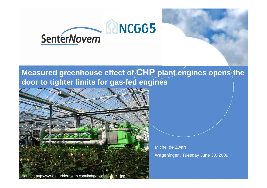

## Measured greenhouse effect of CHP plant engines opens the **door to tighter limits for gas-fed engines**

Source: http://www.zuurbierrozen.com/images/jenbacher1.jpg

Michel de ZwartWageningen, Tuesday June 30, 2009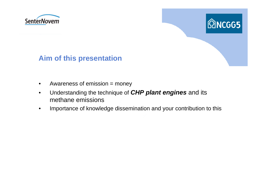



#### **Aim of this presentation**

- $\bullet$ Awareness of emission = money
- $\bullet$  Understanding the technique of *CHP plant engines* and its methane emissions
- $\bullet$ Importance of knowledge dissemination and your contribution to this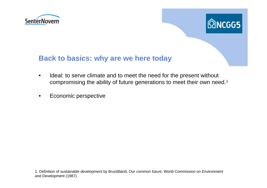



#### **Back to basics: why are we here today**

- • Ideal: to serve climate and to meet the need for the present without compromising the ability of future generations to meet their own need.1
- •Economic perspective

1. Definition of sustainable development by Brundtland, *Our common future,* World Commission on Environment and Development (1987).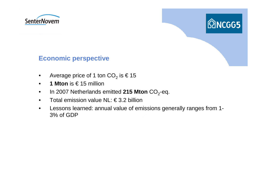



#### **Economic perspective**

- $\bullet$ Average price of 1 ton CO $_2$  is  $\in$  15
- •**1 Mton** is € 15 million
- •In 2007 Netherlands emitted **215 Mton** CO <sup>2</sup>-eq.
- •Total emission value NL: € 3.2 billion
- • Lessons learned: annual value of emissions generally ranges from 1- 3% of GDP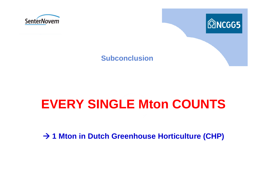



#### **Subconclusion**

# **EVERY SINGLE Mton COUNTS**

 $→$  **1 Mton in Dutch Greenhouse Horticulture (CHP)**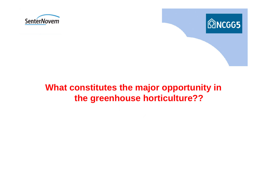



## **What constitutes the major opportunity in the greenhouse horticulture??**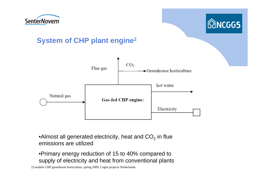



### **System of CHP plant engine 2**



 $\bullet$ Almost all generated electricity, heat and CO $_2$  in flue emissions are utilized

•Primary energy reduction of 15 to 40% compared to supply of electricity and heat from conventional plants

2) module CHP greenhouse horticulture, spring 20 09, Cogen projects Netherlands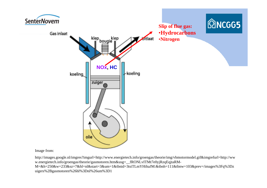

Image from:

http://images.google.nl/imgres?imgurl=http://www.energietech.info/groengas/theorie/img/vbmotormodel.gif&imgrefurl=http://ww w.energietech.info/groengas/theorie/gasmotoren.htm&usg=\_\_fRONLvITMt7e0yjRzqEqjtaRM-M=&h=250&w=233&sz=7&hl=nl&start=3&um=1&tbnid=3tsiTLmYHihaJM:&tbnh=111&tbnw=103&prev=/images%3Fq%3Dz uigers%2Bgasmotoren%26hl%3Dnl%26um%3D1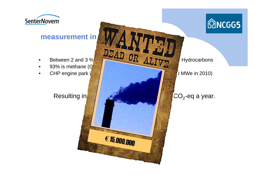

# **@NCGG5**

#### **measurement** in

- •Between 2 and 3 %  $\frac{\text{D2AD}}{\text{OR} \text{ALIV}}$
- •93% is methane  $(G)$
- •CHP engine park  $\left| \begin{array}{ccc} \end{array} \right|$  and  $\left| \begin{array}{ccc} \end{array} \right|$  and  $\left| \begin{array}{ccc} \end{array} \right|$  MWe in 2010)

#### Resulting in

€ 15.000.000

#### $CO<sub>2</sub>$ -eq a year.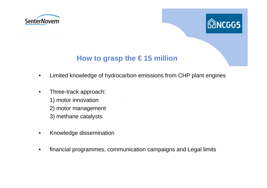



### **How to grasp the € 15 million**

- •Limited knowledge of hydrocarbon emissions from CHP plant engines
- • Three-track approach:
	- 1) motor innovation
	- 2) motor management
	- 3) methane catalysts
- •Knowledge dissemination
- •financial programmes, communication campaigns and Legal limits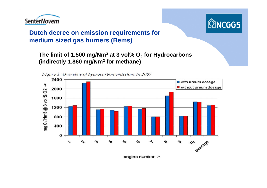



#### **Dutch decree on emission requirements for medium sized gas burners (Bems)**

#### **The limit of 1.500 mg/Nm3 at 3 vol% O2 for Hydrocarbons (indirectly 1.860 mg/Nm3 for methane)**



Figure 1: Overview of hydrocarbon emissions in 2007

engine number ->